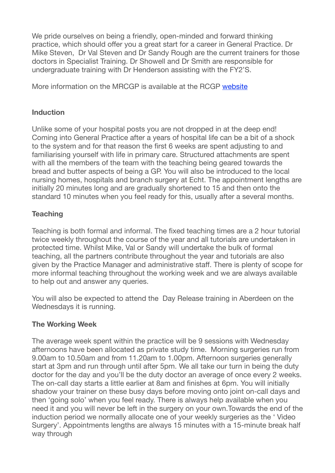We pride ourselves on being a friendly, open-minded and forward thinking practice, which should offer you a great start for a career in General Practice. Dr Mike Steven, Dr Val Steven and Dr Sandy Rough are the current trainers for those doctors in Specialist Training. Dr Showell and Dr Smith are responsible for undergraduate training with Dr Henderson assisting with the FY2'S.

More information on the MRCGP is available at the RCGP [website](http://www.rcgp.org.uk/gp-training-and-exams.aspx)

### **Induction**

Unlike some of your hospital posts you are not dropped in at the deep end! Coming into General Practice after a years of hospital life can be a bit of a shock to the system and for that reason the first 6 weeks are spent adjusting to and familiarising yourself with life in primary care. Structured attachments are spent with all the members of the team with the teaching being geared towards the bread and butter aspects of being a GP. You will also be introduced to the local nursing homes, hospitals and branch surgery at Echt. The appointment lengths are initially 20 minutes long and are gradually shortened to 15 and then onto the standard 10 minutes when you feel ready for this, usually after a several months.

# **Teaching**

Teaching is both formal and informal. The fixed teaching times are a 2 hour tutorial twice weekly throughout the course of the year and all tutorials are undertaken in protected time. Whilst Mike, Val or Sandy will undertake the bulk of formal teaching, all the partners contribute throughout the year and tutorials are also given by the Practice Manager and administrative staff. There is plenty of scope for more informal teaching throughout the working week and we are always available to help out and answer any queries.

You will also be expected to attend the Day Release training in Aberdeen on the Wednesdays it is running.

# **The Working Week**

The average week spent within the practice will be 9 sessions with Wednesday afternoons have been allocated as private study time. Morning surgeries run from 9.00am to 10.50am and from 11.20am to 1.00pm. Afternoon surgeries generally start at 3pm and run through until after 5pm. We all take our turn in being the duty doctor for the day and you'll be the duty doctor an average of once every 2 weeks. The on-call day starts a little earlier at 8am and finishes at 6pm. You will initially shadow your trainer on these busy days before moving onto joint on-call days and then 'going solo' when you feel ready. There is always help available when you need it and you will never be left in the surgery on your own.Towards the end of the induction period we normally allocate one of your weekly surgeries as the ' Video Surgery'. Appointments lengths are always 15 minutes with a 15-minute break half way through